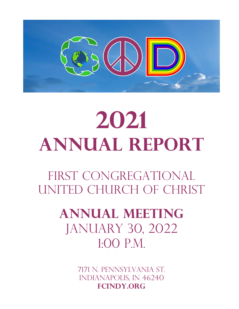

## **2021 Annual Report**

FIRST CONGREGATIONAL United Church of Christ

## **Annual Meeting** JANUARY 30, 2022 1:00 P.M.

7171 n. pennsylvania ST. iNDIANAPOLIS, in 46240 **FCindy.org**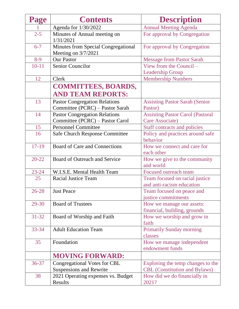| Page      | <b>Contents</b>                                              | <b>Description</b>                                          |
|-----------|--------------------------------------------------------------|-------------------------------------------------------------|
|           | Agenda for 1/30/2022                                         | <b>Annual Meeting Agenda</b>                                |
| $2 - 5$   | Minutes of Annual meeting on<br>1/31/2021                    | For approval by Congregation                                |
| $6 - 7$   | Minutes from Special Congregational<br>Meeting on $3/7/2021$ | For approval by Congregation                                |
| $8-9$     | <b>Our Pastor</b>                                            | <b>Message from Pastor Sarah</b>                            |
| $10 - 11$ | <b>Senior Councilor</b>                                      | View from the Council -                                     |
|           |                                                              | <b>Leadership Group</b>                                     |
| 12        | Clerk                                                        | <b>Membership Numbers</b>                                   |
|           | <b>COMMITTEES, BOARDS,</b>                                   |                                                             |
|           | <b>AND TEAM REPORTS:</b>                                     |                                                             |
| 13        | <b>Pastor Congregation Relations</b>                         | <b>Assisting Pastor Sarah (Senior</b>                       |
|           | Committee (PCRC) - Pastor Sarah                              | Pastor)                                                     |
| 14        | <b>Pastor Congregation Relations</b>                         | <b>Assisting Pastor Carol (Pastoral</b>                     |
|           | Committee (PCRC) – Pastor Carol                              | Care Associate)                                             |
| 15        | <b>Personnel Committee</b>                                   | <b>Staff contracts and policies</b>                         |
| 16        | <b>Safe Church Response Committee</b>                        | Policy and practices around safe<br>behavior                |
| $17-19$   | Board of Care and Connections                                | How we connect and care for                                 |
|           |                                                              | each other                                                  |
| $20 - 22$ | Board of Outreach and Service                                | How we give to the community                                |
|           |                                                              | and world                                                   |
| $23 - 24$ | W.I.S.E. Mental Health Team                                  | Focused outreach team                                       |
| 25        | <b>Racial Justice Team</b>                                   | Team focused on racial justice<br>and anti-racism education |
| $26 - 28$ | <b>Just Peace</b>                                            | Team focused on peace and                                   |
|           |                                                              | justice commitments                                         |
| 29-30     | <b>Board of Trustees</b>                                     | How we manage our assets:                                   |
|           |                                                              | financial, building, grounds                                |
| $31 - 32$ | Board of Worship and Faith                                   | How we worship and grow in                                  |
|           |                                                              | faith                                                       |
| $33 - 34$ | <b>Adult Education Team</b>                                  | <b>Primarily Sunday morning</b>                             |
|           |                                                              | classes                                                     |
| 35        | Foundation                                                   | How we manage independent                                   |
|           |                                                              | endowment funds                                             |
|           | <b>MOVING FORWARD:</b>                                       |                                                             |
| $36 - 37$ | Congregational Votes for CBL                                 | Exploring the temp changes to the                           |
|           | <b>Suspensions and Rewrite</b>                               | <b>CBL</b> (Constitution and Bylaws)                        |
| 38        | 2021 Operating expenses vs. Budget                           | How did we do financially in                                |
|           | Results                                                      | 2021?                                                       |